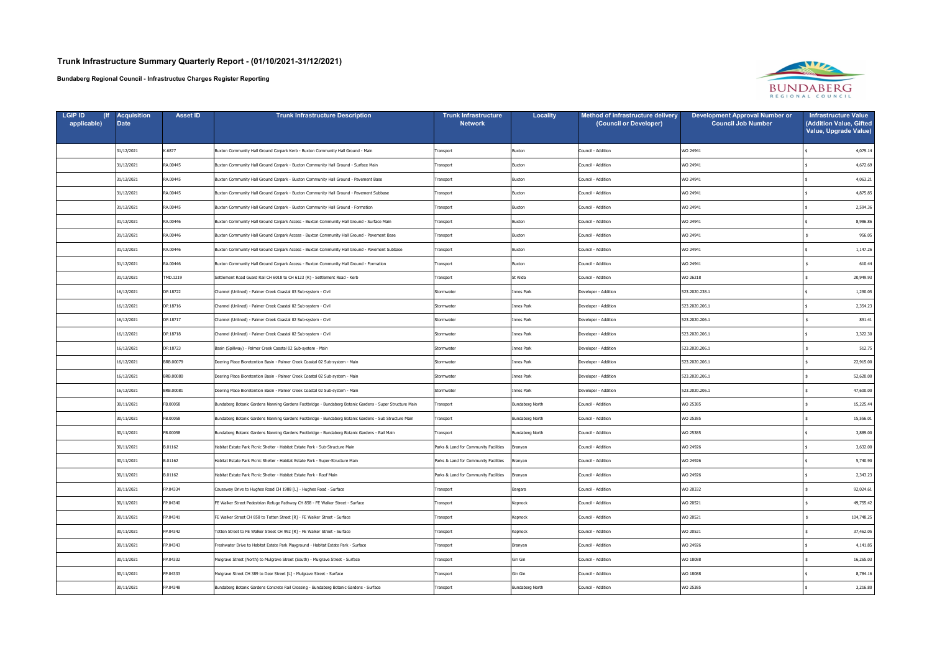| <b>LGIP ID</b><br>applicable) | Acquisition<br><b>Date</b> | <b>Asset ID</b> | <b>Trunk Infrastructure Description</b>                                                                 | Trunk Infrastructure<br><b>Network</b> | <b>Locality</b> | Method of infrastructure delivery<br>(Council or Developer) | <b>Development Approval Number or</b><br><b>Council Job Number</b> | <b>Infrastructure Value</b><br>(Addition Value, Gifted<br>Value, Upgrade Value) |
|-------------------------------|----------------------------|-----------------|---------------------------------------------------------------------------------------------------------|----------------------------------------|-----------------|-------------------------------------------------------------|--------------------------------------------------------------------|---------------------------------------------------------------------------------|
|                               | 31/12/2021                 | K.6877          | Buxton Community Hall Ground Carpark Kerb - Buxton Community Hall Ground - Main                         | Transport                              | Buxton          | Council - Addition                                          | WO 24941                                                           | 4,079.14                                                                        |
|                               | 31/12/2021                 | RA.00445        | Buxton Community Hall Ground Carpark - Buxton Community Hall Ground - Surface Main                      | Transport                              | Buxton          | Council - Addition                                          | WO 24941                                                           | 4,672.69                                                                        |
|                               | 31/12/2021                 | RA.00445        | Buxton Community Hall Ground Carpark - Buxton Community Hall Ground - Pavement Base                     | Transport                              | Buxton          | Council - Addition                                          | WO 24941                                                           | 4,063.21                                                                        |
|                               | 31/12/2021                 | RA.00445        | Buxton Community Hall Ground Carpark - Buxton Community Hall Ground - Pavement Subbase                  | Transport                              | Buxton          | Council - Addition                                          | WO 24941                                                           | 4,875.85                                                                        |
|                               | 31/12/2021                 | RA.00445        | Buxton Community Hall Ground Carpark - Buxton Community Hall Ground - Formation                         | Transport                              | Buxton          | Council - Addition                                          | WO 24941                                                           | 2,594.36                                                                        |
|                               | 31/12/2021                 | RA.00446        | Buxton Community Hall Ground Carpark Access - Buxton Community Hall Ground - Surface Main               | Transport                              | Buxton          | Council - Addition                                          | WO 24941                                                           | 8,986.86                                                                        |
|                               | 31/12/2021                 | RA.00446        | Buxton Community Hall Ground Carpark Access - Buxton Community Hall Ground - Pavement Base              | Transport                              | Buxton          | Council - Addition                                          | WO 24941                                                           | 956.05                                                                          |
|                               | 31/12/2021                 | RA.00446        | Buxton Community Hall Ground Carpark Access - Buxton Community Hall Ground - Pavement Subbase           | Transport                              | Buxton          | Council - Addition                                          | WO 24941                                                           | 1,147.26                                                                        |
|                               | 31/12/2021                 | RA.00446        | Buxton Community Hall Ground Carpark Access - Buxton Community Hall Ground - Formation                  | Transport                              | Buxton          | Council - Addition                                          | WO 24941                                                           | 610.44                                                                          |
|                               | 31/12/2021                 | TMD.1219        | Settlement Road Guard Rail CH 6018 to CH 6123 (R) - Settlement Road - Kerb                              | Transport                              | St Kilda        | Council - Addition                                          | WO 26218                                                           | 20,949.93                                                                       |
|                               | 16/12/2021                 | DP.18722        | Channel (Unlined) - Palmer Creek Coastal 03 Sub-system - Civil                                          | Stormwater                             | Innes Park      | Developer - Addition                                        | 523.2020.238.1                                                     | 1,290.05                                                                        |
|                               | 16/12/2021                 | DP.18716        | Channel (Unlined) - Palmer Creek Coastal 02 Sub-system - Civil                                          | Stormwater                             | Innes Park      | Developer - Addition                                        | 523.2020.206.1                                                     | 2,354.23                                                                        |
|                               | 16/12/2021                 | DP.18717        | Channel (Unlined) - Palmer Creek Coastal 02 Sub-system - Civil                                          | Stormwater                             | Innes Park      | Developer - Addition                                        | 523.2020.206.1                                                     | 891.41                                                                          |
|                               | 16/12/2021                 | DP.18718        | Channel (Unlined) - Palmer Creek Coastal 02 Sub-system - Civil                                          | Stormwater                             | Innes Park      | Developer - Addition                                        | 523.2020.206.1                                                     | 3,322.30                                                                        |
|                               | 16/12/2021                 | DP.18723        | Basin (Spillway) - Palmer Creek Coastal 02 Sub-system - Main                                            | Stormwater                             | Innes Park      | Developer - Addition                                        | 523.2020.206.1                                                     | 512.75                                                                          |
|                               | 16/12/2021                 | BRB.00079       | Deering Place Bioretention Basin - Palmer Creek Coastal 02 Sub-system - Main                            | Stormwater                             | Innes Park      | Developer - Addition                                        | 523.2020.206.1                                                     | 22,915.00                                                                       |
|                               | 16/12/2021                 | BRB.00080       | Deering Place Bioretention Basin - Palmer Creek Coastal 02 Sub-system - Main                            | Stormwater                             | Innes Park      | Developer - Addition                                        | 523.2020.206.1                                                     | 52,620.00                                                                       |
|                               | 16/12/2021                 | BRB.00081       | Deering Place Bioretention Basin - Palmer Creek Coastal 02 Sub-system - Main                            | Stormwater                             | Innes Park      | Developer - Addition                                        | 523.2020.206.1                                                     | 47,600.00                                                                       |
|                               | 30/11/2021                 | FB.00058        | Bundaberg Botanic Gardens Nanning Gardens Footbridge - Bundaberg Botanic Gardens - Super Structure Main | Transport                              | Bundaberg North | Council - Addition                                          | WO 25385                                                           | 15,225.44                                                                       |
|                               | 30/11/2021                 | FB.00058        | Bundaberg Botanic Gardens Nanning Gardens Footbridge - Bundaberg Botanic Gardens - Sub Structure Main   | Transport                              | Bundaberg North | Council - Addition                                          | WO 25385                                                           | 15,556.01                                                                       |
|                               | 30/11/2021                 | FB.00058        | Bundaberg Botanic Gardens Nanning Gardens Footbridge - Bundaberg Botanic Gardens - Rail Main            | Transport                              | Bundaberg North | Council - Addition                                          | WO 25385                                                           | 3,889.00                                                                        |
|                               | 30/11/2021                 | B.01162         | labitat Estate Park Picnic Shelter - Habitat Estate Park - Sub-Structure Main                           | Parks & Land for Community Facilities  | Branyan         | Council - Addition                                          | WO 24926                                                           | 3,632.00                                                                        |
|                               | 30/11/2021                 | B.01162         | labitat Estate Park Picnic Shelter - Habitat Estate Park - Super-Structure Main                         | Parks & Land for Community Facilities  | Branyan         | Council - Addition                                          | WO 24926                                                           | 5,740.90                                                                        |
|                               | 30/11/2021                 | B.01162         | labitat Estate Park Picnic Shelter - Habitat Estate Park - Roof Main                                    | Parks & Land for Community Facilities  | Branyan         | Council - Addition                                          | WO 24926                                                           | 2,343.23                                                                        |
|                               | 30/11/2021                 | FP.04334        | Causeway Drive to Hughes Road CH 1988 [L] - Hughes Road - Surface                                       | Transport                              | Bargara         | Council - Addition                                          | WO 20332                                                           | 92,024.61                                                                       |
|                               | 30/11/2021                 | FP.04340        | FE Walker Street Pedestrian Refuge Pathway CH 858 - FE Walker Street - Surface                          | Transport                              | Kepnock         | Council - Addition                                          | WO 20521                                                           | 49,755.42                                                                       |
|                               | 30/11/2021                 | FP.04341        | FE Walker Street CH 858 to Totten Street [R] - FE Walker Street - Surface                               | Transport                              | Kepnock         | Council - Addition                                          | WO 20521                                                           | 104,748.25                                                                      |
|                               | 30/11/2021                 | FP.04342        | Totten Street to FE Walker Street CH 992 [R] - FE Walker Street - Surface                               | Transport                              | Kepnock         | Council - Addition                                          | WO 20521                                                           | 37,462.05                                                                       |
|                               | 30/11/2021                 | FP.04343        | Freshwater Drive to Habitat Estate Park Playground - Habitat Estate Park - Surface                      | Transport                              | Branyan         | Council - Addition                                          | WO 24926                                                           | 4,141.85                                                                        |
|                               | 30/11/2021                 | FP.04332        | Mulgrave Street (North) to Mulgrave Street (South) - Mulgrave Street - Surface                          | Transport                              | Gin Gin         | Council - Addition                                          | WO 18088                                                           | 16,265.03                                                                       |
|                               | 30/11/2021                 | FP.04333        | Mulgrave Street CH 389 to Dear Street [L] - Mulgrave Street - Surface                                   | Transport                              | Gin Gin         | Council - Addition                                          | WO 18088                                                           | 8,784.16                                                                        |
|                               | 30/11/2021                 | FP.04348        | Bundaberg Botanic Gardens Concrete Rail Crossing - Bundaberg Botanic Gardens - Surface                  | Transport                              | Bundaberg North | Council - Addition                                          | WO 25385                                                           | 3,216.80                                                                        |

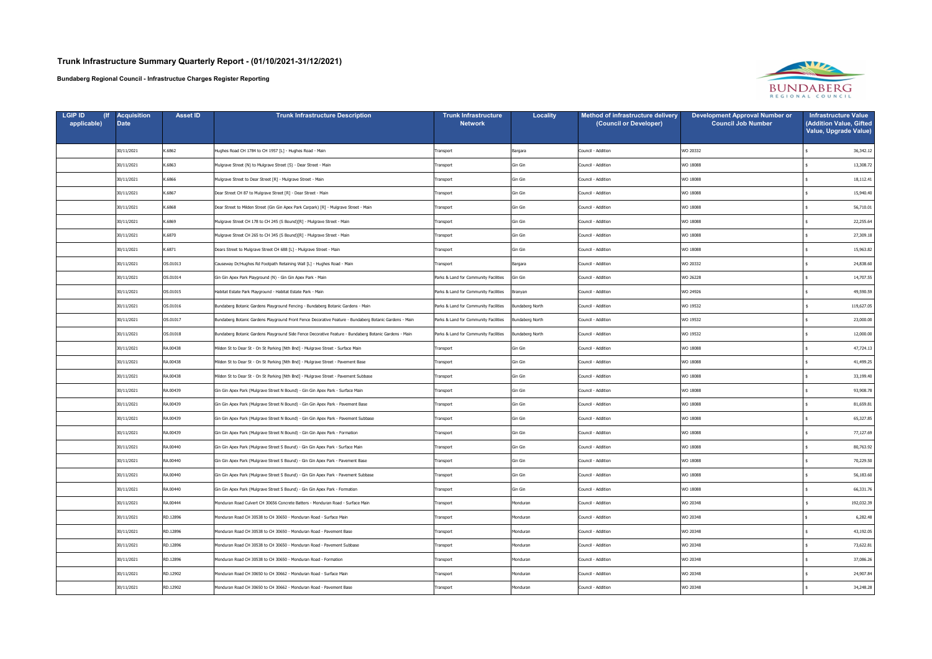| <b>LGIP ID</b><br>applicable) | <b>Acquisition</b><br><b>Date</b> | <b>Asset ID</b> | <b>Trunk Infrastructure Description</b>                                                                | Trunk Infrastructure<br><b>Network</b> | Locality        | Method of infrastructure delivery<br>(Council or Developer) | <b>Development Approval Number or</b><br><b>Council Job Number</b> | <b>Infrastructure Value</b><br>(Addition Value, Gifted<br>Value, Upgrade Value) |
|-------------------------------|-----------------------------------|-----------------|--------------------------------------------------------------------------------------------------------|----------------------------------------|-----------------|-------------------------------------------------------------|--------------------------------------------------------------------|---------------------------------------------------------------------------------|
|                               | 30/11/2021                        | K.6862          | Hughes Road CH 1784 to CH 1957 [L] - Hughes Road - Main                                                | Transport                              | Bargara         | Council - Addition                                          | WO 20332                                                           | 36,342.12                                                                       |
|                               | 30/11/2021                        | K.6863          | Mulgrave Street (N) to Mulgrave Street (S) - Dear Street - Main                                        | Transport                              | Gin Gin         | Council - Addition                                          | WO 18088                                                           | 13,308.72                                                                       |
|                               | 30/11/2021                        | K.6866          | Mulgrave Street to Dear Street [R] - Mulgrave Street - Main                                            | Transport                              | Gin Gin         | Council - Addition                                          | WO 18088                                                           | 18,112.41                                                                       |
|                               | 30/11/2021                        | K.6867          | Dear Street CH 87 to Mulgrave Street [R] - Dear Street - Main                                          | Transport                              | Gin Gin         | Council - Addition                                          | WO 18088                                                           | 15,940.40                                                                       |
|                               | 30/11/2021                        | K.6868          | Dear Street to Milden Street (Gin Gin Apex Park Carpark) [R] - Mulgrave Street - Main                  | Transport                              | Gin Gin         | Council - Addition                                          | WO 18088                                                           | 56,710.01                                                                       |
|                               | 30/11/2021                        | K.6869          | Mulgrave Street CH 178 to CH 245 (S Bound)[R] - Mulgrave Street - Main                                 | Transport                              | Gin Gin         | Council - Addition                                          | WO 18088                                                           | 22,255.64                                                                       |
|                               | 30/11/2021                        | K.6870          | Mulgrave Street CH 265 to CH 345 (S Bound)[R] - Mulgrave Street - Main                                 | Transport                              | Gin Gin         | Council - Addition                                          | WO 18088                                                           | 27,309.18                                                                       |
|                               | 30/11/2021                        | K.6871          | Dears Street to Mulgrave Street CH 688 [L] - Mulgrave Street - Main                                    | Transport                              | Gin Gin         | Council - Addition                                          | WO 18088                                                           | 15,963.82                                                                       |
|                               | 30/11/2021                        | OS.01013        | Causeway Dr/Hughes Rd Footpath Retaining Wall [L] - Hughes Road - Main                                 | Transport                              | Bargara         | Council - Addition                                          | WO 20332                                                           | 24,838.60                                                                       |
|                               | 30/11/2021                        | OS.01014        | Gin Gin Apex Park Playground (N) - Gin Gin Apex Park - Main                                            | Parks & Land for Community Facilities  | Gin Gin         | Council - Addition                                          | WO 26228                                                           | 14,707.55                                                                       |
|                               | 30/11/2021                        | OS.01015        | Habitat Estate Park Playground - Habitat Estate Park - Main                                            | Parks & Land for Community Facilities  | Branyan         | Council - Addition                                          | WO 24926                                                           | 49,590.59                                                                       |
|                               | 30/11/2021                        | OS.01016        | Bundaberg Botanic Gardens Playground Fencing - Bundaberg Botanic Gardens - Main                        | Parks & Land for Community Facilities  | Bundaberg North | Council - Addition                                          | WO 19532                                                           | 119,627.05                                                                      |
|                               | 30/11/2021                        | OS.01017        | Bundaberg Botanic Gardens Playground Front Fence Decorative Feature - Bundaberg Botanic Gardens - Main | Parks & Land for Community Facilities  | Bundaberg North | Council - Addition                                          | WO 19532                                                           | 23,000.00                                                                       |
|                               | 30/11/2021                        | OS.01018        | Bundaberg Botanic Gardens Playground Side Fence Decorative Feature - Bundaberg Botanic Gardens - Main  | Parks & Land for Community Facilities  | Bundaberg North | Council - Addition                                          | WO 19532                                                           | 12,000.00                                                                       |
|                               | 30/11/2021                        | RA.00438        | Milden St to Dear St - On St Parking [Nth Bnd] - Mulgrave Street - Surface Main                        | Transport                              | Gin Gin         | Council - Addition                                          | WO 18088                                                           | 47,724.13                                                                       |
|                               | 30/11/2021                        | RA.00438        | Milden St to Dear St - On St Parking [Nth Bnd] - Mulgrave Street - Pavement Base                       | Transport                              | Gin Gin         | Council - Addition                                          | WO 18088                                                           | 41,499.25                                                                       |
|                               | 30/11/2021                        | RA.00438        | Milden St to Dear St - On St Parking [Nth Bnd] - Mulgrave Street - Pavement Subbase                    | Transport                              | Gin Gin         | Council - Addition                                          | WO 18088                                                           | 33,199.40                                                                       |
|                               | 30/11/2021                        | RA.00439        | Gin Gin Apex Park (Mulgrave Street N Bound) - Gin Gin Apex Park - Surface Main                         | Transport                              | Gin Gin         | Council - Addition                                          | WO 18088                                                           | 93,908.78                                                                       |
|                               | 30/11/2021                        | RA.00439        | Gin Gin Apex Park (Mulgrave Street N Bound) - Gin Gin Apex Park - Pavement Base                        | Transport                              | Gin Gin         | Council - Addition                                          | WO 18088                                                           | 81,659.81                                                                       |
|                               | 30/11/2021                        | RA.00439        | Gin Gin Apex Park (Mulgrave Street N Bound) - Gin Gin Apex Park - Pavement Subbase                     | Transport                              | Gin Gin         | Council - Addition                                          | WO 18088                                                           | 65,327.85                                                                       |
|                               | 30/11/2021                        | RA.00439        | Gin Gin Apex Park (Mulgrave Street N Bound) - Gin Gin Apex Park - Formation                            | Transport                              | Gin Gin         | Council - Addition                                          | WO 18088                                                           | 77,127.69                                                                       |
|                               | 30/11/2021                        | RA.00440        | Gin Gin Apex Park (Mulgrave Street S Bound) - Gin Gin Apex Park - Surface Main                         | Transport                              | Gin Gin         | Council - Addition                                          | WO 18088                                                           | 80,763.92                                                                       |
|                               | 30/11/2021                        | RA.00440        | Gin Gin Apex Park (Mulgrave Street S Bound) - Gin Gin Apex Park - Pavement Base                        | I ransport                             | Gin Gin         | Council - Addition                                          | <b>WO 18088</b>                                                    | 70,229.50                                                                       |
|                               | 30/11/2021                        | RA.00440        | Gin Gin Apex Park (Mulgrave Street S Bound) - Gin Gin Apex Park - Pavement Subbase                     | Transport                              | Gin Gin         | Council - Addition                                          | WO 18088                                                           | 56,183.60                                                                       |
|                               | 30/11/2021                        | RA.00440        | Gin Gin Apex Park (Mulgrave Street S Bound) - Gin Gin Apex Park - Formation                            | Transport                              | Gin Gin         | Council - Addition                                          | WO 18088                                                           | 66,331.76                                                                       |
|                               | 30/11/2021                        | RA.00444        | Monduran Road Culvert CH 30656 Concrete Batters - Monduran Road - Surface Main                         | Transport                              | Monduran        | Council - Addition                                          | WO 20348                                                           | 192,032.39                                                                      |
|                               | 30/11/2021                        | RD.12896        | Monduran Road CH 30538 to CH 30650 - Monduran Road - Surface Main                                      | Transport                              | Monduran        | Council - Addition                                          | WO 20348                                                           | 6,282.48                                                                        |
|                               | 30/11/2021                        | RD.12896        | Monduran Road CH 30538 to CH 30650 - Monduran Road - Pavement Base                                     | Transport                              | Monduran        | Council - Addition                                          | WO 20348                                                           | 43,192.05                                                                       |
|                               | 30/11/2021                        | RD.12896        | Monduran Road CH 30538 to CH 30650 - Monduran Road - Pavement Subbase                                  | Transport                              | Monduran        | Council - Addition                                          | WO 20348                                                           | 73,622.81                                                                       |
|                               | 30/11/2021                        | RD.12896        | Monduran Road CH 30538 to CH 30650 - Monduran Road - Formation                                         | Transport                              | Monduran        | Council - Addition                                          | WO 20348                                                           | 37,086.26                                                                       |
|                               | 30/11/2021                        | RD.12902        | Monduran Road CH 30650 to CH 30662 - Monduran Road - Surface Main                                      | Transport                              | Monduran        | Council - Addition                                          | WO 20348                                                           | 24,907.84                                                                       |
|                               | 30/11/2021                        | RD.12902        | Monduran Road CH 30650 to CH 30662 - Monduran Road - Pavement Base                                     | Transport                              | Monduran        | Council - Addition                                          | WO 20348                                                           | 34,248.28                                                                       |

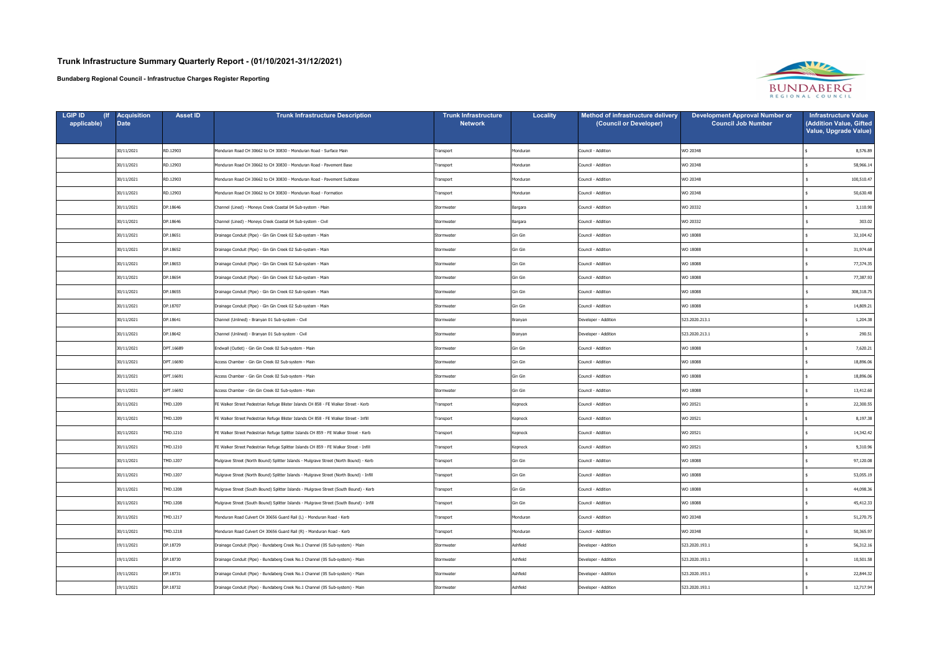| <b>LGIP ID</b><br>applicable) | <b>Acquisition</b><br><b>Date</b> | <b>Asset ID</b> | <b>Trunk Infrastructure Description</b>                                                 | <b>Trunk Infrastructure</b><br><b>Network</b> | <b>Locality</b> | Method of infrastructure delivery<br>(Council or Developer) | <b>Development Approval Number or</b><br><b>Council Job Number</b> | <b>Infrastructure Value</b><br>(Addition Value, Gifted<br>Value, Upgrade Value) |
|-------------------------------|-----------------------------------|-----------------|-----------------------------------------------------------------------------------------|-----------------------------------------------|-----------------|-------------------------------------------------------------|--------------------------------------------------------------------|---------------------------------------------------------------------------------|
|                               | 30/11/2021                        | RD.12903        | Monduran Road CH 30662 to CH 30830 - Monduran Road - Surface Main                       | Transport                                     | Monduran        | Council - Addition                                          | WO 20348                                                           | 8,576.89                                                                        |
|                               | 30/11/2021                        | RD.12903        | Monduran Road CH 30662 to CH 30830 - Monduran Road - Pavement Base                      | Transport                                     | Monduran        | Council - Addition                                          | WO 20348                                                           | 58,966.14                                                                       |
|                               | 30/11/2021                        | RD.12903        | Monduran Road CH 30662 to CH 30830 - Monduran Road - Pavement Subbase                   | Transport                                     | Monduran        | Council - Addition                                          | WO 20348                                                           | 100,510.47                                                                      |
|                               | 30/11/2021                        | RD.12903        | Monduran Road CH 30662 to CH 30830 - Monduran Road - Formation                          | Transport                                     | Monduran        | Council - Addition                                          | WO 20348                                                           | 50,630.48                                                                       |
|                               | 30/11/2021                        | DP.18646        | Channel (Lined) - Moneys Creek Coastal 04 Sub-system - Main                             | Stormwater                                    | Bargara         | Council - Addition                                          | WO 20332                                                           | 3,110.90                                                                        |
|                               | 30/11/2021                        | DP.18646        | Channel (Lined) - Moneys Creek Coastal 04 Sub-system - Civil                            | Stormwater                                    | Bargara         | Council - Addition                                          | WO 20332                                                           | 303.02                                                                          |
|                               | 30/11/2021                        | DP.18651        | Drainage Conduit (Pipe) - Gin Gin Creek 02 Sub-system - Main                            | Stormwater                                    | Gin Gin         | Council - Addition                                          | WO 18088                                                           | 32,104.42                                                                       |
|                               | 30/11/2021                        | DP.18652        | Drainage Conduit (Pipe) - Gin Gin Creek 02 Sub-system - Main                            | Stormwater                                    | Gin Gin         | Council - Addition                                          | WO 18088                                                           | 31,974.68                                                                       |
|                               | 30/11/2021                        | DP.18653        | Drainage Conduit (Pipe) - Gin Gin Creek 02 Sub-system - Main                            | Stormwater                                    | Gin Gin         | Council - Addition                                          | WO 18088                                                           | 77,374.35                                                                       |
|                               | 30/11/2021                        | DP.18654        | Drainage Conduit (Pipe) - Gin Gin Creek 02 Sub-system - Main                            | Stormwater                                    | Gin Gin         | Council - Addition                                          | WO 18088                                                           | 77,387.93                                                                       |
|                               | 30/11/2021                        | DP.18655        | Drainage Conduit (Pipe) - Gin Gin Creek 02 Sub-system - Main                            | Stormwater                                    | Gin Gin         | Council - Addition                                          | WO 18088                                                           | 308,318.75                                                                      |
|                               | 30/11/2021                        | DP.18707        | Drainage Conduit (Pipe) - Gin Gin Creek 02 Sub-system - Main                            | Stormwater                                    | Gin Gin         | Council - Addition                                          | WO 18088                                                           | 14,809.21                                                                       |
|                               | 30/11/2021                        | DP.18641        | Channel (Unlined) - Branyan 01 Sub-system - Civil                                       | Stormwater                                    | Branyan         | Developer - Addition                                        | 523.2020.213.1                                                     | 1,204.38                                                                        |
|                               | 30/11/2021                        | DP.18642        | Channel (Unlined) - Branyan 01 Sub-system - Civil                                       | Stormwater                                    | Branyan         | Developer - Addition                                        | 523.2020.213.1                                                     | 290.51                                                                          |
|                               | 30/11/2021                        | DPT.16689       | Endwall (Outlet) - Gin Gin Creek 02 Sub-system - Main                                   | Stormwater                                    | Gin Gin         | Council - Addition                                          | WO 18088                                                           | 7,620.21                                                                        |
|                               | 30/11/2021                        | DPT.16690       | Access Chamber - Gin Gin Creek 02 Sub-system - Main                                     | Stormwater                                    | Gin Gin         | Council - Addition                                          | WO 18088                                                           | 18,896.06                                                                       |
|                               | 30/11/2021                        | DPT.16691       | Access Chamber - Gin Gin Creek 02 Sub-system - Main                                     | Stormwater                                    | Gin Gin         | Council - Addition                                          | WO 18088                                                           | 18,896.06                                                                       |
|                               | 30/11/2021                        | DPT.16692       | Access Chamber - Gin Gin Creek 02 Sub-system - Main                                     | Stormwater                                    | Gin Gin         | Council - Addition                                          | WO 18088                                                           | 13,412.60                                                                       |
|                               | 30/11/2021                        | TMD.1209        | FE Walker Street Pedestrian Refuge Blister Islands CH 858 - FE Walker Street - Kerb     | Transport                                     | Kepnock         | Council - Addition                                          | WO 20521                                                           | 22,300.55                                                                       |
|                               | 30/11/2021                        | TMD.1209        | FE Walker Street Pedestrian Refuge Blister Islands CH 858 - FE Walker Street - Infill   | Transport                                     | Kepnock         | Council - Addition                                          | WO 20521                                                           | 8,197.38                                                                        |
|                               | 30/11/2021                        | TMD.1210        | FE Walker Street Pedestrian Refuge Splitter Islands CH 859 - FE Walker Street - Kerb    | Transport                                     | Kepnock         | Council - Addition                                          | WO 20521                                                           | 14,342.42                                                                       |
|                               | 30/11/2021                        | TMD.1210        | FE Walker Street Pedestrian Refuge Splitter Islands CH 859 - FE Walker Street - Infill  | Transport                                     | Kepnock         | Council - Addition                                          | WO 20521                                                           | 9,310.96                                                                        |
|                               | 30/11/2021                        | MD.1207         | Mulgrave Street (North Bound) Splitter Islands - Mulgrave Street (North Bound) - Kerb   | Transport                                     | Gin Gin         | Council - Addition                                          | WO 18088                                                           | 97,120.08                                                                       |
|                               | 30/11/2021                        | TMD.1207        | Mulgrave Street (North Bound) Splitter Islands - Mulgrave Street (North Bound) - Infill | Transport                                     | Gin Gin         | Council - Addition                                          | WO 18088                                                           | 53,055.19                                                                       |
|                               | 30/11/2021                        | TMD.1208        | Mulgrave Street (South Bound) Splitter Islands - Mulgrave Street (South Bound) - Kerb   | Transport                                     | Gin Gin         | Council - Addition                                          | WO 18088                                                           | 44,098.36                                                                       |
|                               | 30/11/2021                        | TMD.1208        | Mulgrave Street (South Bound) Splitter Islands - Mulgrave Street (South Bound) - Infill | Transport                                     | Gin Gin         | Council - Addition                                          | WO 18088                                                           | 45,412.33                                                                       |
|                               | 30/11/2021                        | TMD.1217        | Monduran Road Culvert CH 30656 Guard Rail (L) - Monduran Road - Kerb                    | Transport                                     | Monduran        | Council - Addition                                          | WO 20348                                                           | 51,270.75                                                                       |
|                               | 30/11/2021                        | TMD.1218        | Monduran Road Culvert CH 30656 Guard Rail (R) - Monduran Road - Kerb                    | Transport                                     | Monduran        | Council - Addition                                          | WO 20348                                                           | 50,365.97                                                                       |
|                               | 19/11/2021                        | DP.18729        | Drainage Conduit (Pipe) - Bundaberg Creek No.1 Channel (05 Sub-system) - Main           | Stormwater                                    | Ashfield        | Developer - Addition                                        | 523.2020.193.1                                                     | 56,312.16                                                                       |
|                               | 19/11/2021                        | DP.18730        | Drainage Conduit (Pipe) - Bundaberg Creek No.1 Channel (05 Sub-system) - Main           | Stormwater                                    | Ashfield        | Developer - Addition                                        | 523.2020.193.1                                                     | 10,501.58                                                                       |
|                               | 19/11/2021                        | DP.18731        | Drainage Conduit (Pipe) - Bundaberg Creek No.1 Channel (05 Sub-system) - Main           | Stormwater                                    | Ashfield        | Developer - Addition                                        | 523.2020.193.1                                                     | 22,844.32                                                                       |
|                               | 19/11/2021                        | DP.18732        | Drainage Conduit (Pipe) - Bundaberg Creek No.1 Channel (05 Sub-system) - Main           | Stormwater                                    | Ashfield        | Developer - Addition                                        | 523.2020.193.1                                                     | 12,717.94                                                                       |

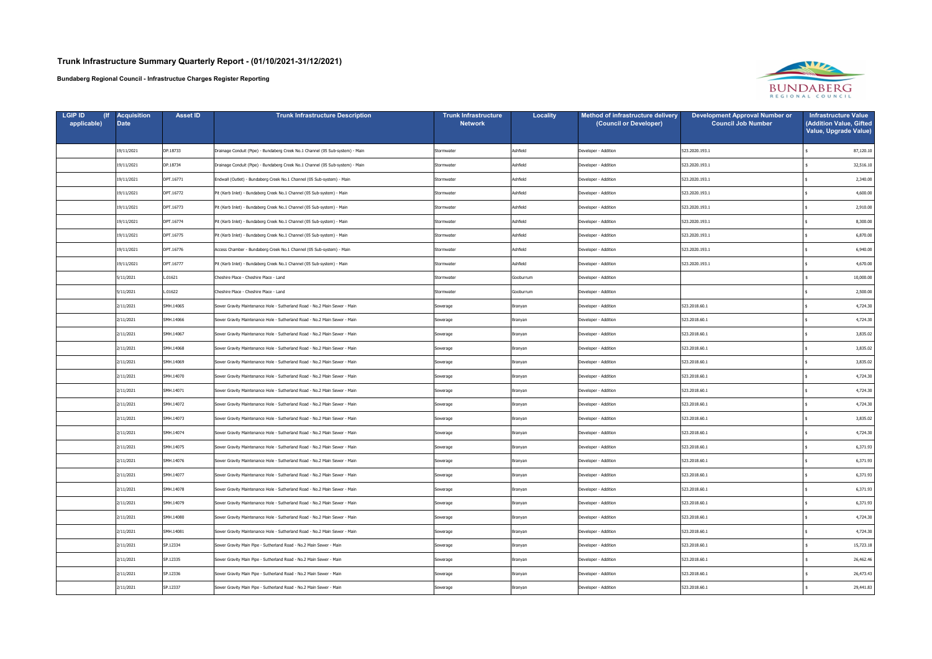| <b>LGIP ID</b><br>applicable) | <b>Acquisition</b><br><b>Date</b> | <b>Asset ID</b> | <b>Trunk Infrastructure Description</b>                                       | <b>Trunk Infrastructure</b><br><b>Network</b> | <b>Locality</b> | Method of infrastructure delivery<br>(Council or Developer) | <b>Development Approval Number or</b><br><b>Council Job Number</b> | <b>Infrastructure Value</b><br>(Addition Value, Gifted<br>Value, Upgrade Value) |
|-------------------------------|-----------------------------------|-----------------|-------------------------------------------------------------------------------|-----------------------------------------------|-----------------|-------------------------------------------------------------|--------------------------------------------------------------------|---------------------------------------------------------------------------------|
|                               | 19/11/2021                        | DP.18733        | Drainage Conduit (Pipe) - Bundaberg Creek No.1 Channel (05 Sub-system) - Main | Stormwater                                    | Ashfield        | Developer - Addition                                        | 523.2020.193.1                                                     | 87,120.10                                                                       |
|                               | 19/11/2021                        | DP.18734        | Drainage Conduit (Pipe) - Bundaberg Creek No.1 Channel (05 Sub-system) - Main | Stormwater                                    | Ashfield        | Developer - Addition                                        | 523.2020.193.1                                                     | 32,516.10                                                                       |
|                               | 19/11/2021                        | DPT.16771       | Endwall (Outlet) - Bundaberg Creek No.1 Channel (05 Sub-system) - Main        | Stormwater                                    | Ashfield        | Developer - Addition                                        | 523.2020.193.1                                                     | 2,340.00                                                                        |
|                               | 19/11/2021                        | DPT.16772       | Pit (Kerb Inlet) - Bundaberg Creek No.1 Channel (05 Sub-system) - Main        | Stormwater                                    | Ashfield        | Developer - Addition                                        | 523.2020.193.1                                                     | 4,600.00                                                                        |
|                               | 19/11/2021                        | DPT.16773       | Pit (Kerb Inlet) - Bundaberg Creek No.1 Channel (05 Sub-system) - Main        | Stormwater                                    | Ashfield        | Developer - Addition                                        | 523.2020.193.1                                                     | 2,910.00                                                                        |
|                               | 19/11/2021                        | DPT.16774       | Pit (Kerb Inlet) - Bundaberg Creek No.1 Channel (05 Sub-system) - Main        | Stormwater                                    | Ashfield        | Developer - Addition                                        | 523.2020.193.1                                                     | 8,300.00                                                                        |
|                               | 19/11/2021                        | DPT.16775       | Pit (Kerb Inlet) - Bundaberg Creek No.1 Channel (05 Sub-system) - Main        | Stormwater                                    | Ashfield        | Developer - Addition                                        | 523.2020.193.1                                                     | 6,870.00                                                                        |
|                               | 19/11/2021                        | DPT.16776       | Access Chamber - Bundaberg Creek No.1 Channel (05 Sub-system) - Main          | Stormwater                                    | Ashfield        | Developer - Addition                                        | 523.2020.193.1                                                     | 6,940.00                                                                        |
|                               | 19/11/2021                        | DPT.16777       | Pit (Kerb Inlet) - Bundaberg Creek No.1 Channel (05 Sub-system) - Main        | Stormwater                                    | Ashfield        | Developer - Addition                                        | 523.2020.193.1                                                     | 4,670.00                                                                        |
|                               | 5/11/2021                         | L.01621         | Cheshire Place - Cheshire Place - Land                                        | Stormwater                                    | Gooburrum       | Developer - Addition                                        |                                                                    | 10,000.00                                                                       |
|                               | 5/11/2021                         | L.01622         | Cheshire Place - Cheshire Place - Land                                        | Stormwater                                    | Gooburrum       | Developer - Addition                                        |                                                                    | 2,500.00                                                                        |
|                               | 2/11/2021                         | SMH.14065       | Sewer Gravity Maintenance Hole - Sutherland Road - No.2 Main Sewer - Main     | Sewerage                                      | Branyan         | Developer - Addition                                        | 523.2018.60.1                                                      | 4,724.30                                                                        |
|                               | 2/11/2021                         | SMH.14066       | Sewer Gravity Maintenance Hole - Sutherland Road - No.2 Main Sewer - Main     | Sewerage                                      | Branyan         | Developer - Addition                                        | 523.2018.60.1                                                      | 4,724.30                                                                        |
|                               | 2/11/2021                         | SMH.14067       | Sewer Gravity Maintenance Hole - Sutherland Road - No.2 Main Sewer - Main     | Sewerage                                      | Branyan         | Developer - Addition                                        | 523.2018.60.1                                                      | 3,835.02                                                                        |
|                               | 2/11/2021                         | SMH.14068       | Sewer Gravity Maintenance Hole - Sutherland Road - No.2 Main Sewer - Main     | Sewerage                                      | Branyan         | Developer - Addition                                        | 523.2018.60.1                                                      | 3,835.02                                                                        |
|                               | 2/11/2021                         | SMH.14069       | Sewer Gravity Maintenance Hole - Sutherland Road - No.2 Main Sewer - Main     | Sewerage                                      | Branyan         | Developer - Addition                                        | 523.2018.60.1                                                      | 3,835.02                                                                        |
|                               | 2/11/2021                         | SMH.14070       | Sewer Gravity Maintenance Hole - Sutherland Road - No.2 Main Sewer - Main     | Sewerage                                      | Branyan         | Developer - Addition                                        | 523.2018.60.1                                                      | 4,724.30                                                                        |
|                               | 2/11/2021                         | SMH.14071       | Sewer Gravity Maintenance Hole - Sutherland Road - No.2 Main Sewer - Main     | Sewerage                                      | Branyan         | Developer - Addition                                        | 523.2018.60.1                                                      | 4,724.30                                                                        |
|                               | 2/11/2021                         | SMH.14072       | Sewer Gravity Maintenance Hole - Sutherland Road - No.2 Main Sewer - Main     | Sewerage                                      | Branyan         | Developer - Addition                                        | 523.2018.60.1                                                      | 4,724.30                                                                        |
|                               | 2/11/2021                         | SMH.14073       | Sewer Gravity Maintenance Hole - Sutherland Road - No.2 Main Sewer - Main     | Sewerage                                      | Branyan         | Developer - Addition                                        | 523.2018.60.1                                                      | 3,835.02                                                                        |
|                               | 2/11/2021                         | SMH.14074       | Sewer Gravity Maintenance Hole - Sutherland Road - No.2 Main Sewer - Main     | Sewerage                                      | Branyan         | Developer - Addition                                        | 523.2018.60.1                                                      | 4,724.30                                                                        |
|                               | 2/11/2021                         | SMH.14075       | Sewer Gravity Maintenance Hole - Sutherland Road - No.2 Main Sewer - Main     | Sewerage                                      | Branyan         | Developer - Addition                                        | 523.2018.60.1                                                      | 6,371.93                                                                        |
|                               | 2/11/2021                         | SMH.14076       | Sewer Gravity Maintenance Hole - Sutherland Road - No.2 Main Sewer - Main     | Sewerage                                      | Branyan         | Developer - Addition                                        | 523.2018.60.1                                                      | 6,371.93                                                                        |
|                               | 2/11/2021                         | SMH.14077       | Sewer Gravity Maintenance Hole - Sutherland Road - No.2 Main Sewer - Main     | Sewerage                                      | Branyan         | Developer - Addition                                        | 523.2018.60.1                                                      | 6,371.93                                                                        |
|                               | 2/11/2021                         | SMH.14078       | Sewer Gravity Maintenance Hole - Sutherland Road - No.2 Main Sewer - Main     | Sewerage                                      | Branyan         | Developer - Addition                                        | 523.2018.60.1                                                      | 6,371.93                                                                        |
|                               | 2/11/2021                         | SMH.14079       | Sewer Gravity Maintenance Hole - Sutherland Road - No.2 Main Sewer - Main     | Sewerage                                      | Branyan         | Developer - Addition                                        | 523.2018.60.1                                                      | 6,371.93                                                                        |
|                               | 2/11/2021                         | SMH.14080       | Sewer Gravity Maintenance Hole - Sutherland Road - No.2 Main Sewer - Main     | Sewerage                                      | Branyan         | Developer - Addition                                        | 523.2018.60.1                                                      | 4,724.30                                                                        |
|                               | 2/11/2021                         | SMH.14081       | Sewer Gravity Maintenance Hole - Sutherland Road - No.2 Main Sewer - Main     | Sewerage                                      | Branyan         | Developer - Addition                                        | 523.2018.60.1                                                      | 4,724.30                                                                        |
|                               | 2/11/2021                         | SP.12334        | Sewer Gravity Main Pipe - Sutherland Road - No.2 Main Sewer - Main            | Sewerage                                      | Branyan         | Developer - Addition                                        | 523.2018.60.1                                                      | 15,723.18                                                                       |
|                               | 2/11/2021                         | SP.12335        | Sewer Gravity Main Pipe - Sutherland Road - No.2 Main Sewer - Main            | Sewerage                                      | Branyan         | Developer - Addition                                        | 523.2018.60.1                                                      | 26,462.46                                                                       |
|                               | 2/11/2021                         | SP.12336        | Sewer Gravity Main Pipe - Sutherland Road - No.2 Main Sewer - Main            | Sewerage                                      | Branyan         | Developer - Addition                                        | 523.2018.60.1                                                      | 26,473.43                                                                       |
|                               | 2/11/2021                         | SP.12337        | Sewer Gravity Main Pipe - Sutherland Road - No.2 Main Sewer - Main            | Sewerage                                      | Branyan         | Developer - Addition                                        | 523.2018.60.1                                                      | 29,441.83                                                                       |

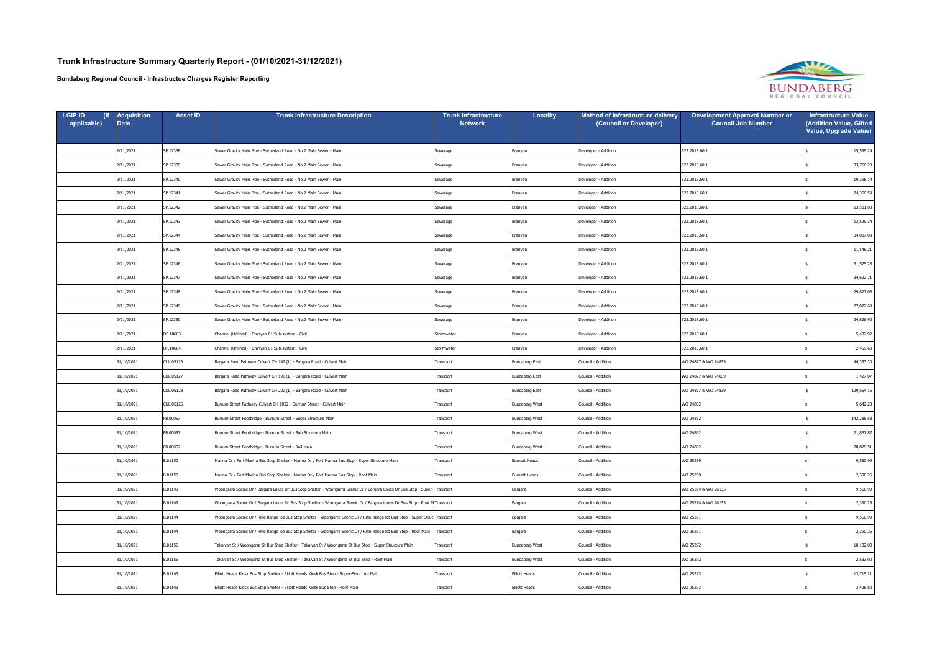| <b>LGIP ID</b><br>applicable) | <b>Acquisition</b><br><b>Date</b> | <b>Asset ID</b> | <b>Trunk Infrastructure Description</b>                                                                                       | <b>Trunk Infrastructure</b><br><b>Network</b> | <b>Locality</b>       | Method of infrastructure delivery<br>(Council or Developer) | <b>Development Approval Number or</b><br><b>Council Job Number</b> | <b>Infrastructure Value</b><br>(Addition Value, Gifted<br>Value, Upgrade Value) |
|-------------------------------|-----------------------------------|-----------------|-------------------------------------------------------------------------------------------------------------------------------|-----------------------------------------------|-----------------------|-------------------------------------------------------------|--------------------------------------------------------------------|---------------------------------------------------------------------------------|
|                               | 2/11/2021                         | SP.12338        | Sewer Gravity Main Pipe - Sutherland Road - No.2 Main Sewer - Main                                                            | Sewerage                                      | Branyan               | Developer - Addition                                        | 523.2018.60.1                                                      | 15,599.24                                                                       |
|                               | 2/11/2021                         | SP.12339        | Sewer Gravity Main Pipe - Sutherland Road - No.2 Main Sewer - Main                                                            | Sewerage                                      | Branyan               | Developer - Addition                                        | 523.2018.60.1                                                      | 33,756.23                                                                       |
|                               | 2/11/2021                         | SP.12340        | Sewer Gravity Main Pipe - Sutherland Road - No.2 Main Sewer - Main                                                            | Sewerage                                      | Branyan               | Developer - Addition                                        | 523.2018.60.1                                                      | 19,398.14                                                                       |
|                               | 2/11/2021                         | SP.12341        | Sewer Gravity Main Pipe - Sutherland Road - No.2 Main Sewer - Main                                                            | Sewerage                                      | Branyan               | Developer - Addition                                        | 523.2018.60.1                                                      | 24,356.59                                                                       |
|                               | 2/11/2021                         | SP.12342        | Sewer Gravity Main Pipe - Sutherland Road - No.2 Main Sewer - Main                                                            | Sewerage                                      | Branyan               | Developer - Addition                                        | 523.2018.60.1                                                      | 23,501.08                                                                       |
|                               | 2/11/2021                         | SP.12343        | Sewer Gravity Main Pipe - Sutherland Road - No.2 Main Sewer - Main                                                            | Sewerage                                      | Branyan               | Developer - Addition                                        | 523.2018.60.1                                                      | 13,529.34                                                                       |
|                               | 2/11/2021                         | SP.12344        | Sewer Gravity Main Pipe - Sutherland Road - No.2 Main Sewer - Main                                                            | Sewerage                                      | Branyan               | Developer - Addition                                        | 523.2018.60.1                                                      | 34,087.03                                                                       |
|                               | 2/11/2021                         | SP.12345        | Sewer Gravity Main Pipe - Sutherland Road - No.2 Main Sewer - Main                                                            | Sewerage                                      | Branyan               | Developer - Addition                                        | 523.2018.60.1                                                      | 11,546.21                                                                       |
|                               | 2/11/2021                         | SP.12346        | Sewer Gravity Main Pipe - Sutherland Road - No.2 Main Sewer - Main                                                            | Sewerage                                      | Branyan               | Developer - Addition                                        | 523.2018.60.1                                                      | 31,525.28                                                                       |
|                               | 2/11/2021                         | SP.12347        | Sewer Gravity Main Pipe - Sutherland Road - No.2 Main Sewer - Main                                                            | Sewerage                                      | Branyan               | Developer - Addition                                        | 523.2018.60.1                                                      | 34,622.71                                                                       |
|                               | 2/11/2021                         | SP.12348        | Sewer Gravity Main Pipe - Sutherland Road - No.2 Main Sewer - Main                                                            | Sewerage                                      | Branyan               | Developer - Addition                                        | 523.2018.60.1                                                      | 29,827.06                                                                       |
|                               | 2/11/2021                         | SP.12349        | Sewer Gravity Main Pipe - Sutherland Road - No.2 Main Sewer - Main                                                            | Sewerage                                      | Branyan               | Developer - Addition                                        | 523.2018.60.1                                                      | 27,022.69                                                                       |
|                               | 2/11/2021                         | SP.12350        | Sewer Gravity Main Pipe - Sutherland Road - No.2 Main Sewer - Main                                                            | Sewerage                                      | Branyan               | Developer - Addition                                        | 523.2018.60.1                                                      | 24,826.90                                                                       |
|                               | 2/11/2021                         | DP.18603        | Channel (Unlined) - Branyan 01 Sub-system - Civil                                                                             | Stormwater                                    | Branyan               | Developer - Addition                                        | 523.2018.60.1                                                      | 5,432.92                                                                        |
|                               | 2/11/2021                         | DP.18604        | Channel (Unlined) - Branyan 01 Sub-system - Civil                                                                             | Stormwater                                    | Branyan               | Developer - Addition                                        | 523.2018.60.1                                                      | 2,459.68                                                                        |
|                               | 31/10/2021                        | CUL.05126       | Bargara Road Pathway Culvert CH 142 [L] - Bargara Road - Culvert Main                                                         | Transport                                     | Bundaberg East        | Council - Addition                                          | WO 24827 & WO 24839                                                | 44,333.30                                                                       |
|                               | 31/10/2021                        | CUL.05127       | Bargara Road Pathway Culvert CH 190 [L] - Bargara Road - Culvert Main                                                         | Transport                                     | Bundaberg East        | Council - Addition                                          | WO 24827 & WO 24839                                                | 1,427.07                                                                        |
|                               | 31/10/2021                        | CUL.05128       | Bargara Road Pathway Culvert CH 200 [L] - Bargara Road - Culvert Main                                                         | Transport                                     | Bundaberg East        | Council - Addition                                          | WO 24827 & WO 24839                                                | 129,564.15                                                                      |
|                               | 31/10/2021                        | CUL.05125       | Burrum Street Pathway Culvert CH 1022 - Burrum Street - Culvert Main                                                          | Transport                                     | Bundaberg West        | Council - Addition                                          | WO 24862                                                           | 5,642.23                                                                        |
|                               | 31/10/2021                        | FB.00057        | Burrum Street Footbridge - Burrum Street - Super Structure Main                                                               | Transport                                     | Bundaberg West        | Council - Addition                                          | WO 24862                                                           | 142,286.58                                                                      |
|                               | 31/10/2021                        | FB.00057        | Burrum Street Footbridge - Burrum Street - Sub Structure Main                                                                 | Transport                                     | Bundaberg West        | Council - Addition                                          | WO 24862                                                           | 21,867.87                                                                       |
|                               | 31/10/2021                        | FB.00057        | Burrum Street Footbridge - Burrum Street - Rail Main                                                                          | Transport                                     | <b>Bundaberg West</b> | Council - Addition                                          | WO 24862                                                           | 28,829.51                                                                       |
|                               | 31/10/2021                        | B.01150         | Marina Dr / Port Marina Bus Stop Shelter - Marina Dr / Port Marina Bus Stop - Super-Structure Main                            | Transport                                     | <b>Burnett Heads</b>  | Council - Addition                                          | WO 25269                                                           | 9,560.99                                                                        |
|                               | 31/10/2021                        | B.01150         | Marina Dr / Port Marina Bus Stop Shelter - Marina Dr / Port Marina Bus Stop - Roof Main                                       | Transport                                     | <b>Burnett Heads</b>  | Council - Addition                                          | WO 25269                                                           | 2,390.25                                                                        |
|                               | 31/10/2021                        | B.01149         | Woongarra Scenic Dr / Bargara Lakes Dr Bus Stop Shelter - Woongarra Scenic Dr / Bargara Lakes Dr Bus Stop - Super-Transport   |                                               | Bargara               | Council - Addition                                          | WO 25274 & WO 26135                                                | 9,560.99                                                                        |
|                               | 31/10/2021                        | B.01149         | Woongarra Scenic Dr / Bargara Lakes Dr Bus Stop Shelter - Woongarra Scenic Dr / Bargara Lakes Dr Bus Stop - Roof MTransport   |                                               | Bargara               | Council - Addition                                          | WO 25274 & WO 26135                                                | 2,390.25                                                                        |
|                               | 31/10/2021                        | B.01144         | Woongarra Scenic Dr / Rifle Range Rd Bus Stop Shelter - Woongarra Scenic Dr / Rifle Range Rd Bus Stop - Super-Struc Transport |                                               | Bargara               | Council - Addition                                          | WO 25271                                                           | 9,560.99                                                                        |
|                               | 31/10/2021                        | B.01144         | Woongarra Scenic Dr / Rifle Range Rd Bus Stop Shelter - Woongarra Scenic Dr / Rifle Range Rd Bus Stop - Roof Main Transport   |                                               | Bargara               | Council - Addition                                          | WO 25271                                                           | 2,390.25                                                                        |
|                               | 31/10/2021                        | B.01156         | Takalvan St / Woongarra St Bus Stop Shelter - Takalvan St / Woongarra St Bus Stop - Super-Structure Main                      | Transport                                     | <b>Bundaberg West</b> | Council - Addition                                          | WO 25272                                                           | 10,132.00                                                                       |
|                               | 31/10/2021                        | B.01156         | Takalvan St / Woongarra St Bus Stop Shelter - Takalvan St / Woongarra St Bus Stop - Roof Main                                 | Transport                                     | <b>Bundaberg West</b> | Council - Addition                                          | WO 25272                                                           | 2,533.00                                                                        |
|                               | 31/10/2021                        | B.01143         | Elliott Heads Kiosk Bus Stop Shelter - Elliott Heads Kiosk Bus Stop - Super-Structure Main                                    | Transport                                     | <b>Elliott Heads</b>  | Council - Addition                                          | WO 25273                                                           | 13,715.21                                                                       |
|                               | 31/10/2021                        | B.01143         | Elliott Heads Kiosk Bus Stop Shelter - Elliott Heads Kiosk Bus Stop - Roof Main                                               | Transport                                     | Elliott Heads         | Council - Addition                                          | WO 25273                                                           | 3,428.80                                                                        |

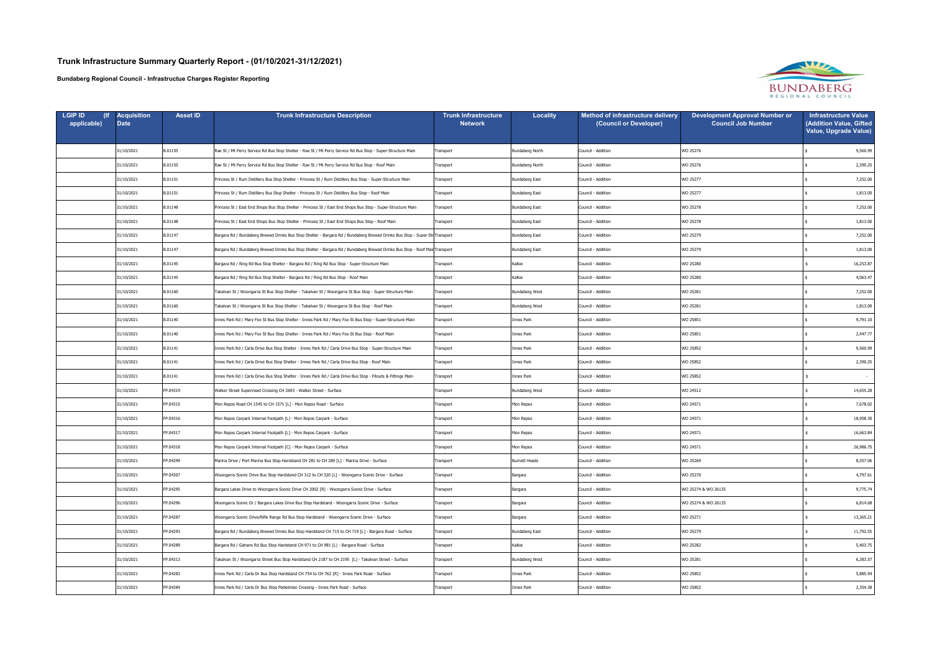| <b>LGIP ID</b><br>applicable) | Acquisition<br><b>Date</b> | <b>Asset ID</b> | <b>Trunk Infrastructure Description</b>                                                                                     | <b>Trunk Infrastructure</b><br><b>Network</b> | Locality              | Method of infrastructure delivery<br>(Council or Developer) | <b>Development Approval Number or</b><br><b>Council Job Number</b> | <b>Infrastructure Value</b><br>(Addition Value, Gifted<br>Value, Upgrade Value) |
|-------------------------------|----------------------------|-----------------|-----------------------------------------------------------------------------------------------------------------------------|-----------------------------------------------|-----------------------|-------------------------------------------------------------|--------------------------------------------------------------------|---------------------------------------------------------------------------------|
|                               | 31/10/2021                 | B.01155         | Rae St / Mt Perry Service Rd Bus Stop Shelter - Rae St / Mt Perry Service Rd Bus Stop - Super-Structure Main                | Transport                                     | Bundaberg North       | Council - Addition                                          | WO 25276                                                           | 9,560.99                                                                        |
|                               | 31/10/2021                 | B.01155         | Rae St / Mt Perry Service Rd Bus Stop Shelter - Rae St / Mt Perry Service Rd Bus Stop - Roof Main                           | Transport                                     | Bundaberg North       | Council - Addition                                          | WO 25276                                                           | 2,390.25                                                                        |
|                               | 31/10/2021                 | B.01151         | Princess St / Rum Distillery Bus Stop Shelter - Princess St / Rum Distillery Bus Stop - Super-Structure Main                | Transport                                     | Bundaberg East        | Council - Addition                                          | WO 25277                                                           | 7,252.00                                                                        |
|                               | 31/10/2021                 | B.01151         | Princess St / Rum Distillery Bus Stop Shelter - Princess St / Rum Distillery Bus Stop - Roof Main                           | Transport                                     | <b>Bundaberg East</b> | Council - Addition                                          | WO 25277                                                           | 1,813.00                                                                        |
|                               | 31/10/2021                 | B.01148         | Princess St / East End Shops Bus Stop Shelter - Princess St / East End Shops Bus Stop - Super-Structure Main                | Transport                                     | Bundaberg East        | Council - Addition                                          | WO 25278                                                           | 7,252.00                                                                        |
|                               | 31/10/2021                 | B.01148         | Princess St / East End Shops Bus Stop Shelter - Princess St / East End Shops Bus Stop - Roof Main                           | Transport                                     | <b>Bundaberg East</b> | Council - Addition                                          | WO 25278                                                           | 1,813.00                                                                        |
|                               | 31/10/2021                 | B.01147         | Bargara Rd / Bundaberg Brewed Drinks Bus Stop Shelter - Bargara Rd / Bundaberg Brewed Drinks Bus Stop - Super-Str Transport |                                               | Bundaberg East        | Council - Addition                                          | WO 25279                                                           | 7,252.00                                                                        |
|                               | 31/10/2021                 | B.01147         | Bargara Rd / Bundaberg Brewed Drinks Bus Stop Shelter - Bargara Rd / Bundaberg Brewed Drinks Bus Stop - Roof MairTransport  |                                               | Bundaberg East        | Council - Addition                                          | WO 25279                                                           | 1,813.00                                                                        |
|                               | 31/10/2021                 | B.01145         | Bargara Rd / Ring Rd Bus Stop Shelter - Bargara Rd / Ring Rd Bus Stop - Super-Structure Main                                | Transport                                     | Kalkie                | Council - Addition                                          | WO 25280                                                           | 16,253.87                                                                       |
|                               | 31/10/2021                 | B.01145         | Bargara Rd / Ring Rd Bus Stop Shelter - Bargara Rd / Ring Rd Bus Stop - Roof Main                                           | Transport                                     | Kalkie                | Council - Addition                                          | WO 25280                                                           | 4,063.47                                                                        |
|                               | 31/10/2021                 | B.01160         | Takalvan St / Woongarra St Bus Stop Shelter - Takalvan St / Woongarra St Bus Stop - Super-Structure Main                    | Transport                                     | <b>Bundaberg West</b> | Council - Addition                                          | WO 25281                                                           | 7,252.00                                                                        |
|                               | 31/10/2021                 | B.01160         | Takalvan St / Woongarra St Bus Stop Shelter - Takalvan St / Woongarra St Bus Stop - Roof Main                               | Transport                                     | <b>Bundaberg West</b> | Council - Addition                                          | WO 25281                                                           | 1,813.00                                                                        |
|                               | 31/10/2021                 | B.01140         | Innes Park Rd / Mary Fox St Bus Stop Shelter - Innes Park Rd / Mary Fox St Bus Stop - Super-Structure Main                  | Transport                                     | Innes Park            | Council - Addition                                          | WO 25851                                                           | 9,791.10                                                                        |
|                               | 31/10/2021                 | B.01140         | Innes Park Rd / Mary Fox St Bus Stop Shelter - Innes Park Rd / Mary Fox St Bus Stop - Roof Main                             | Transport                                     | Innes Park            | Council - Addition                                          | WO 25851                                                           | 2,447.77                                                                        |
|                               | 31/10/2021                 | B.01141         | Innes Park Rd / Carla Drive Bus Stop Shelter - Innes Park Rd / Carla Drive Bus Stop - Super-Structure Main                  | Transport                                     | Innes Park            | Council - Addition                                          | WO 25852                                                           | 9,560.99                                                                        |
|                               | 31/10/2021                 | B.01141         | Innes Park Rd / Carla Drive Bus Stop Shelter - Innes Park Rd / Carla Drive Bus Stop - Roof Main                             | Transport                                     | Innes Park            | Council - Addition                                          | WO 25852                                                           | 2,390.25                                                                        |
|                               | 31/10/2021                 | B.01141         | Innes Park Rd / Carla Drive Bus Stop Shelter - Innes Park Rd / Carla Drive Bus Stop - Fitouts & Fittings Main               | Transport                                     | Innes Park            | Council - Addition                                          | WO 25852                                                           | $\sim$                                                                          |
|                               | 31/10/2021                 | FP.04319        | Walker Street Supervised Crossing CH 2693 - Walker Street - Surface                                                         | Transport                                     | <b>Bundaberg West</b> | Council - Addition                                          | WO 24512                                                           | 14,655.28                                                                       |
|                               | 31/10/2021                 | FP.04315        | Mon Repos Road CH 1545 to CH 1571 [L] - Mon Repos Road - Surface                                                            | Transport                                     | Mon Repos             | Council - Addition                                          | WO 24571                                                           | 7,678.02                                                                        |
|                               | 31/10/2021                 | FP.04316        | Mon Repos Carpark Internal Footpath [L] - Mon Repos Carpark - Surface                                                       | Transport                                     | Mon Repos             | Council - Addition                                          | WO 24571                                                           | 18,958.30                                                                       |
|                               | 31/10/2021                 | FP.04317        | Mon Repos Carpark Internal Footpath [L] - Mon Repos Carpark - Surface                                                       | Transport                                     | Mon Repos             | Council - Addition                                          | WO 24571                                                           | 16,663.84                                                                       |
|                               | 31/10/2021                 | FP.04318        | Mon Repos Carpark Internal Footpath [C] - Mon Repos Carpark - Surface                                                       | Transport                                     | Mon Repos             | Council - Addition                                          | WO 24571                                                           | 26,986.75                                                                       |
|                               | 31/10/2021                 | FP.04299        | Marina Drive / Port Marina Bus Stop Hardstand CH 281 to CH 289 [L] - Marina Drive - Surface                                 | Transport                                     | Burnett Heads         | Council - Addition                                          | WO 25269                                                           | 8,557.06                                                                        |
|                               | 31/10/2021                 | FP.04307        | Woongarra Scenic Drive Bus Stop Hardstand CH 312 to CH 320 [L] - Woongarra Scenic Drive - Surface                           | Transport                                     | Bargara               | Council - Addition                                          | WO 25270                                                           | 4,797.61                                                                        |
|                               | 31/10/2021                 | FP.04295        | Bargara Lakes Drive to Woongarra Scenic Drive CH 2002 [R] - Woongarra Scenic Drive - Surface                                | Transport                                     | Bargara               | Council - Addition                                          | WO 25274 & WO 26135                                                | 9,775.74                                                                        |
|                               | 31/10/2021                 | FP.04296        | Woongarra Scenic Dr / Bargara Lakes Drive Bus Stop Hardstand - Woongarra Scenic Drive - Surface                             | Transport                                     | Bargara               | Council - Addition                                          | WO 25274 & WO 26135                                                | 6,814.68                                                                        |
|                               | 31/10/2021                 | FP.04287        | Woongarra Scenic Drive/Rifle Range Rd Bus Stop Hardstand - Woongarra Scenic Drive - Surface                                 | Transport                                     | Bargara               | Council - Addition                                          | WO 25271                                                           | 13,365.21                                                                       |
|                               | 31/10/2021                 | FP.04293        | Bargara Rd / Bundaberg Brewed Drinks Bus Stop Hardstand CH 715 to CH 719 [L] - Bargara Road - Surface                       | Transport                                     | Bundaberg East        | Council - Addition                                          | WO 25279                                                           | 11,792.55                                                                       |
|                               | 31/10/2021                 | FP.04289        | Bargara Rd / Gahans Rd Bus Stop Hardstand CH 971 to CH 981 [L) - Bargara Road - Surface                                     | Transport                                     | Kalkie                | Council - Addition                                          | WO 25282                                                           | 5,403.75                                                                        |
|                               | 31/10/2021                 | FP.04313        | Takalvan St / Woongarra Street Bus Stop Hardstand CH 2187 to CH 2195 [L] - Takalvan Street - Surface                        | Transport                                     | Bundaberg West        | Council - Addition                                          | WO 25281                                                           | 6,383.57                                                                        |
|                               | 31/10/2021                 | FP.04283        | Innes Park Rd / Carla Dr Bus Stop Hardstand CH 754 to CH 762 [R] - Innes Park Road - Surface                                | Transport                                     | Innes Park            | Council - Addition                                          | WO 25852                                                           | 5,885.94                                                                        |
|                               | 31/10/2021                 | FP.04284        | Innes Park Rd / Carla Dr Bus Stop Pedestrian Crossing - Innes Park Road - Surface                                           | Transport                                     | Innes Park            | Council - Addition                                          | WO 25852                                                           | 2,354.38                                                                        |

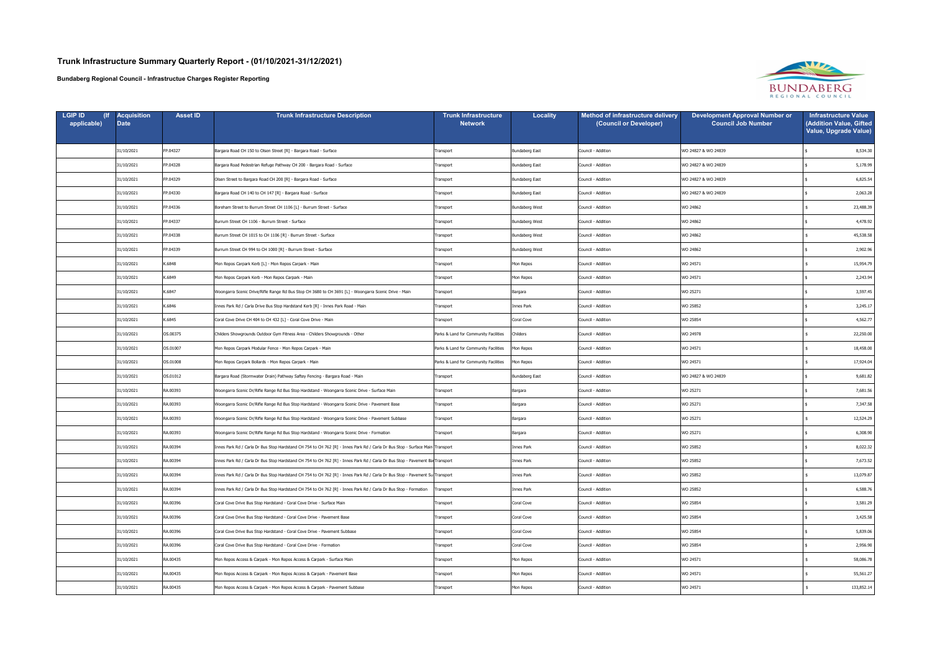| <b>LGIP ID</b><br>applicable) | <b>Acquisition</b><br><b>Date</b> | <b>Asset ID</b> | <b>Trunk Infrastructure Description</b>                                                                                       | Trunk Infrastructure<br><b>Network</b> | <b>Locality</b>       | Method of infrastructure delivery<br>(Council or Developer) | <b>Development Approval Number or</b><br><b>Council Job Number</b> | <b>Infrastructure Value</b><br>(Addition Value, Gifted<br>Value, Upgrade Value) |
|-------------------------------|-----------------------------------|-----------------|-------------------------------------------------------------------------------------------------------------------------------|----------------------------------------|-----------------------|-------------------------------------------------------------|--------------------------------------------------------------------|---------------------------------------------------------------------------------|
|                               | 31/10/2021                        | FP.04327        | Bargara Road CH 150 to Olsen Street [R] - Bargara Road - Surface                                                              | Transport                              | Bundaberg East        | Council - Addition                                          | WO 24827 & WO 24839                                                | 8,534.30                                                                        |
|                               | 31/10/2021                        | FP.04328        | Bargara Road Pedestrian Refuge Pathway CH 200 - Bargara Road - Surface                                                        | Transport                              | Bundaberg East        | Council - Addition                                          | WO 24827 & WO 24839                                                | 5,178.99                                                                        |
|                               | 31/10/2021                        | FP.04329        | Olsen Street to Bargara Road CH 200 [R] - Bargara Road - Surface                                                              | Transport                              | Bundaberg East        | Council - Addition                                          | WO 24827 & WO 24839                                                | 6,825.54                                                                        |
|                               | 31/10/2021                        | FP.04330        | Bargara Road CH 140 to CH 147 [R] - Bargara Road - Surface                                                                    | Transport                              | Bundaberg East        | Council - Addition                                          | WO 24827 & WO 24839                                                | 2,063.28                                                                        |
|                               | 31/10/2021                        | FP.04336        | Boreham Street to Burrum Street CH 1106 [L] - Burrum Street - Surface                                                         | Transport                              | <b>Bundaberg West</b> | Council - Addition                                          | WO 24862                                                           | 23,488.39                                                                       |
|                               | 31/10/2021                        | FP.04337        | Burrum Street CH 1106 - Burrum Street - Surface                                                                               | Transport                              | Bundaberg West        | Council - Addition                                          | WO 24862                                                           | 4,478.92                                                                        |
|                               | 31/10/2021                        | FP.04338        | Burrum Street CH 1015 to CH 1106 [R] - Burrum Street - Surface                                                                | Transport                              | <b>Bundaberg West</b> | Council - Addition                                          | WO 24862                                                           | 45,538.58                                                                       |
|                               | 31/10/2021                        | FP.04339        | Burrum Street CH 994 to CH 1000 [R] - Burrum Street - Surface                                                                 | Transport                              | <b>Bundaberg West</b> | Council - Addition                                          | WO 24862                                                           | 2,902.96                                                                        |
|                               | 31/10/2021                        | K.6848          | Mon Repos Carpark Kerb [L] - Mon Repos Carpark - Main                                                                         | Transport                              | Mon Repos             | Council - Addition                                          | WO 24571                                                           | 15,954.79                                                                       |
|                               | 31/10/2021                        | K.6849          | Mon Repos Carpark Kerb - Mon Repos Carpark - Main                                                                             | Transport                              | Mon Repos             | Council - Addition                                          | WO 24571                                                           | 2,243.94                                                                        |
|                               | 31/10/2021                        | K.6847          | Woongarra Scenic Drive/Rifle Range Rd Bus Stop CH 3680 to CH 3691 [L] - Woongarra Scenic Drive - Main                         | Transport                              | Bargara               | Council - Addition                                          | WO 25271                                                           | 3,597.45                                                                        |
|                               | 31/10/2021                        | K.6846          | Innes Park Rd / Carla Drive Bus Stop Hardstand Kerb [R] - Innes Park Road - Main                                              | Transport                              | Innes Park            | Council - Addition                                          | WO 25852                                                           | 3,245.17                                                                        |
|                               | 31/10/2021                        | K.6845          | Coral Cove Drive CH 404 to CH 432 [L] - Coral Cove Drive - Main                                                               | Transport                              | Coral Cove            | Council - Addition                                          | WO 25854                                                           | 4,562.77                                                                        |
|                               | 31/10/2021                        | OS.00375        | Childers Showgrounds Outdoor Gym Fitness Area - Childers Showgrounds - Other                                                  | Parks & Land for Community Facilities  | Childers              | Council - Addition                                          | WO 24978                                                           | 22,250.00                                                                       |
|                               | 31/10/2021                        | OS.01007        | Mon Repos Carpark Modular Fence - Mon Repos Carpark - Main                                                                    | Parks & Land for Community Facilities  | Mon Repos             | Council - Addition                                          | WO 24571                                                           | 18,458.00                                                                       |
|                               | 31/10/2021                        | OS.01008        | Mon Repos Carpark Bollards - Mon Repos Carpark - Main                                                                         | Parks & Land for Community Facilities  | Mon Repos             | Council - Addition                                          | WO 24571                                                           | 17,924.04                                                                       |
|                               | 31/10/2021                        | OS.01012        | Bargara Road (Stormwater Drain) Pathway Saftey Fencing - Bargara Road - Main                                                  | Transport                              | Bundaberg East        | Council - Addition                                          | WO 24827 & WO 24839                                                | 9,681.82                                                                        |
|                               | 31/10/2021                        | RA.00393        | Woongarra Scenic Dr/Rifle Range Rd Bus Stop Hardstand - Woongarra Scenic Drive - Surface Main                                 | Transport                              | Bargara               | Council - Addition                                          | WO 25271                                                           | 7,681.56                                                                        |
|                               | 31/10/2021                        | RA.00393        | Woongarra Scenic Dr/Rifle Range Rd Bus Stop Hardstand - Woongarra Scenic Drive - Pavement Base                                | Transport                              | Bargara               | Council - Addition                                          | WO 25271                                                           | 7,347.58                                                                        |
|                               | 31/10/2021                        | RA.00393        | Woongarra Scenic Dr/Rifle Range Rd Bus Stop Hardstand - Woongarra Scenic Drive - Pavement Subbase                             | Transport                              | Bargara               | Council - Addition                                          | WO 25271                                                           | 12,524.29                                                                       |
|                               | 31/10/2021                        | RA.00393        | Woongarra Scenic Dr/Rifle Range Rd Bus Stop Hardstand - Woongarra Scenic Drive - Formation                                    | Transport                              | Bargara               | Council - Addition                                          | WO 25271                                                           | 6,308.90                                                                        |
|                               | 31/10/2021                        | RA.00394        | Innes Park Rd / Carla Dr Bus Stop Hardstand CH 754 to CH 762 [R] - Innes Park Rd / Carla Dr Bus Stop - Surface Main Transport |                                        | Innes Park            | Council - Addition                                          | WO 25852                                                           | 8,022.32                                                                        |
|                               | 31/10/2021                        | RA.00394        | Innes Park Rd / Carla Dr Bus Stop Hardstand CH 754 to CH 762 [R] - Innes Park Rd / Carla Dr Bus Stop - Pavement Ba Transport  |                                        | Innes Park            | Council - Addition                                          | WO 25852                                                           | 7,673.52                                                                        |
|                               | 31/10/2021                        | RA.00394        | Innes Park Rd / Carla Dr Bus Stop Hardstand CH 754 to CH 762 [R] - Innes Park Rd / Carla Dr Bus Stop - Pavement Su Transport  |                                        | Innes Park            | Council - Addition                                          | WO 25852                                                           | 13,079.87                                                                       |
|                               | 31/10/2021                        | RA.00394        | Innes Park Rd / Carla Dr Bus Stop Hardstand CH 754 to CH 762 [R] - Innes Park Rd / Carla Dr Bus Stop - Formation              | Transport                              | Innes Park            | Council - Addition                                          | WO 25852                                                           | 6,588.76                                                                        |
|                               | 31/10/2021                        | RA.00396        | Coral Cove Drive Bus Stop Hardstand - Coral Cove Drive - Surface Main                                                         | Transport                              | Coral Cove            | Council - Addition                                          | WO 25854                                                           | 3,581.29                                                                        |
|                               | 31/10/2021                        | RA.00396        | Coral Cove Drive Bus Stop Hardstand - Coral Cove Drive - Pavement Base                                                        | Transport                              | Coral Cove            | Council - Addition                                          | WO 25854                                                           | 3,425.58                                                                        |
|                               | 31/10/2021                        | RA.00396        | Coral Cove Drive Bus Stop Hardstand - Coral Cove Drive - Pavement Subbase                                                     | Transport                              | Coral Cove            | Council - Addition                                          | WO 25854                                                           | 5,839.06                                                                        |
|                               | 31/10/2021                        | RA.00396        | Coral Cove Drive Bus Stop Hardstand - Coral Cove Drive - Formation                                                            | Transport                              | Coral Cove            | Council - Addition                                          | WO 25854                                                           | 2,956.90                                                                        |
|                               | 31/10/2021                        | RA.00435        | Mon Repos Access & Carpark - Mon Repos Access & Carpark - Surface Main                                                        | Transport                              | Mon Repos             | Council - Addition                                          | WO 24571                                                           | 58,086.78                                                                       |
|                               | 31/10/2021                        | RA.00435        | Mon Repos Access & Carpark - Mon Repos Access & Carpark - Pavement Base                                                       | Transport                              | Mon Repos             | Council - Addition                                          | WO 24571                                                           | 55,561.27                                                                       |
|                               | 31/10/2021                        | RA.00435        | Mon Repos Access & Carpark - Mon Repos Access & Carpark - Pavement Subbase                                                    | Transport                              | Mon Repos             | Council - Addition                                          | WO 24571                                                           | 133,852.14                                                                      |

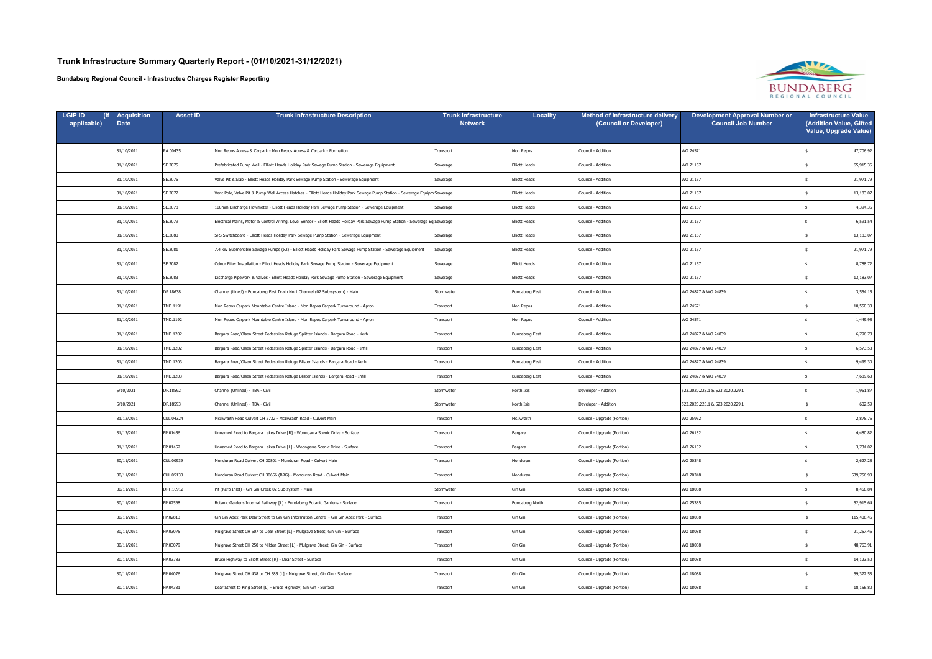| <b>LGIP ID</b><br>applicable) | <b>Acquisition</b><br><b>Date</b> | <b>Asset ID</b> | <b>Trunk Infrastructure Description</b>                                                                                        | <b>Trunk Infrastructure</b><br><b>Network</b> | Locality             | <b>Method of infrastructure delivery</b><br>(Council or Developer) | <b>Development Approval Number or</b><br><b>Council Job Number</b> | <b>Infrastructure Value</b><br>(Addition Value, Gifted<br>Value, Upgrade Value) |
|-------------------------------|-----------------------------------|-----------------|--------------------------------------------------------------------------------------------------------------------------------|-----------------------------------------------|----------------------|--------------------------------------------------------------------|--------------------------------------------------------------------|---------------------------------------------------------------------------------|
|                               | 31/10/2021                        | RA.00435        | Mon Repos Access & Carpark - Mon Repos Access & Carpark - Formation                                                            | Transport                                     | Mon Repos            | Council - Addition                                                 | WO 24571                                                           | 47,706.92                                                                       |
|                               | 31/10/2021                        | SE.2075         | Prefabricated Pump Well - Elliott Heads Holiday Park Sewage Pump Station - Sewerage Equipment                                  | Sewerage                                      | Elliott Heads        | Council - Addition                                                 | WO 21167                                                           | 65,915.36                                                                       |
|                               | 31/10/2021                        | SE.2076         | Valve Pit & Slab - Elliott Heads Holiday Park Sewage Pump Station - Sewerage Equipment                                         | Sewerage                                      | <b>Elliott Heads</b> | Council - Addition                                                 | WO 21167                                                           | 21,971.79                                                                       |
|                               | 31/10/2021                        | SE.2077         | Vent Pole, Valve Pit & Pump Well Access Hatches - Elliott Heads Holiday Park Sewage Pump Station - Sewerage Equipm Sewerage    |                                               | Elliott Heads        | Council - Addition                                                 | WO 21167                                                           | 13,183.07                                                                       |
|                               | 31/10/2021                        | SE.2078         | 100mm Discharge Flowmeter - Elliott Heads Holiday Park Sewage Pump Station - Sewerage Equipment                                | Sewerage                                      | <b>Elliott Heads</b> | Council - Addition                                                 | WO 21167                                                           | 4,394.36                                                                        |
|                               | 31/10/2021                        | SE.2079         | Electrical Mains, Motor & Control Wiring, Level Sensor - Elliott Heads Holiday Park Sewage Pump Station - Sewerage Eq Sewerage |                                               | Elliott Heads        | Council - Addition                                                 | WO 21167                                                           | 6,591.54                                                                        |
|                               | 31/10/2021                        | SE.2080         | SPS Switchboard - Elliott Heads Holiday Park Sewage Pump Station - Sewerage Equipment                                          | Sewerage                                      | Elliott Heads        | Council - Addition                                                 | WO 21167                                                           | 13,183.07                                                                       |
|                               | 31/10/2021                        | SE.2081         | 7.4 kW Submersible Sewage Pumps (x2) - Elliott Heads Holiday Park Sewage Pump Station - Sewerage Equipment                     | Sewerage                                      | <b>Elliott Heads</b> | Council - Addition                                                 | WO 21167                                                           | 21,971.79                                                                       |
|                               | 31/10/2021                        | SE.2082         | Odour Filter Installation - Elliott Heads Holiday Park Sewage Pump Station - Sewerage Equipment                                | Sewerage                                      | Elliott Heads        | Council - Addition                                                 | WO 21167                                                           | 8,788.72                                                                        |
|                               | 31/10/2021                        | SE.2083         | Discharge Pipework & Valves - Elliott Heads Holiday Park Sewage Pump Station - Sewerage Equipment                              | Sewerage                                      | <b>Elliott Heads</b> | Council - Addition                                                 | WO 21167                                                           | 13,183.07                                                                       |
|                               | 31/10/2021                        | DP.18638        | Channel (Lined) - Bundaberg East Drain No.1 Channel (02 Sub-system) - Main                                                     | Stormwater                                    | Bundaberg East       | Council - Addition                                                 | WO 24827 & WO 24839                                                | 3,554.15                                                                        |
|                               | 31/10/2021                        | TMD.1191        | Mon Repos Carpark Mountable Centre Island - Mon Repos Carpark Turnaround - Apron                                               | Transport                                     | Mon Repos            | Council - Addition                                                 | WO 24571                                                           | 10,550.33                                                                       |
|                               | 31/10/2021                        | TMD.1192        | Mon Repos Carpark Mountable Centre Island - Mon Repos Carpark Turnaround - Apron                                               | Transport                                     | Mon Repos            | Council - Addition                                                 | WO 24571                                                           | 1,449.98                                                                        |
|                               | 31/10/2021                        | TMD.1202        | Bargara Road/Olsen Street Pedestrian Refuge Splitter Islands - Bargara Road - Kerb                                             | Transport                                     | Bundaberg East       | Council - Addition                                                 | WO 24827 & WO 24839                                                | 6,796.78                                                                        |
|                               | 31/10/2021                        | TMD.1202        | Bargara Road/Olsen Street Pedestrian Refuge Splitter Islands - Bargara Road - Infill                                           | Transport                                     | Bundaberg East       | Council - Addition                                                 | WO 24827 & WO 24839                                                | 6,573.58                                                                        |
|                               | 31/10/2021                        | TMD.1203        | Bargara Road/Olsen Street Pedestrian Refuge Blister Islands - Bargara Road - Kerb                                              | Transport                                     | Bundaberg East       | Council - Addition                                                 | WO 24827 & WO 24839                                                | 9,499.30                                                                        |
|                               | 31/10/2021                        | TMD.1203        | Bargara Road/Olsen Street Pedestrian Refuge Blister Islands - Bargara Road - Infill                                            | ransport                                      | Bundaberg East       | Council - Addition                                                 | WO 24827 & WO 24839                                                | 7,689.63                                                                        |
|                               | 5/10/2021                         | DP.18592        | Channel (Unlined) - TBA - Civil                                                                                                | Stormwater                                    | North Isis           | Developer - Addition                                               | 523.2020.223.1 & 523.2020.229.1                                    | 1,961.87                                                                        |
|                               | 5/10/2021                         | DP.18593        | Channel (Unlined) - TBA - Civil                                                                                                | Stormwater                                    | North Isis           | Developer - Addition                                               | 523.2020.223.1 & 523.2020.229.1                                    | 602.59                                                                          |
|                               | 31/12/2021                        | CUL.04324       | McIlwraith Road Culvert CH 2732 - McIlwraith Road - Culvert Main                                                               | Transport                                     | McIlwraith           | Council - Upgrade (Portion)                                        | WO 25962                                                           | 2,875.76                                                                        |
|                               | 31/12/2021                        | FP.01456        | Unnamed Road to Bargara Lakes Drive [R] - Woongarra Scenic Drive - Surface                                                     | Transport                                     | Bargara              | Council - Upgrade (Portion)                                        | WO 26132                                                           | 4,480.82                                                                        |
|                               | 31/12/2021                        | FP.01457        | Unnamed Road to Bargara Lakes Drive [L] - Woongarra Scenic Drive - Surface                                                     | Transport                                     | Bargara              | Council - Upgrade (Portion)                                        | WO 26132                                                           | 3,734.02                                                                        |
|                               | 30/11/2021                        | CUL.00939       | Monduran Road Culvert CH 30801 - Monduran Road - Culvert Main                                                                  | ransport                                      | Monduran             | Council - Upgrade (Portion)                                        | WO 20348                                                           | 2,627.28                                                                        |
|                               | 30/11/2021                        | CUL.05130       | Monduran Road Culvert CH 30656 (BRG) - Monduran Road - Culvert Main                                                            | Transport                                     | Monduran             | Council - Upgrade (Portion)                                        | WO 20348                                                           | 539,756.93                                                                      |
|                               | 30/11/2021                        | DPT.10912       | Pit (Kerb Inlet) - Gin Gin Creek 02 Sub-system - Main                                                                          | Stormwater                                    | Gin Gin              | Council - Upgrade (Portion)                                        | WO 18088                                                           | 8,468.84                                                                        |
|                               | 30/11/2021                        | FP.02568        | Botanic Gardens Internal Pathway [L] - Bundaberg Botanic Gardens - Surface                                                     | Transport                                     | Bundaberg North      | Council - Upgrade (Portion)                                        | WO 25385                                                           | 52,915.64                                                                       |
|                               | 30/11/2021                        | FP.02813        | Gin Gin Apex Park Dear Street to Gin Gin Information Centre - Gin Gin Apex Park - Surface                                      | Transport                                     | Gin Gin              | Council - Upgrade (Portion)                                        | WO 18088                                                           | 115,406.46                                                                      |
|                               | 30/11/2021                        | FP.03075        | Mulgrave Street CH 607 to Dear Street [L] - Mulgrave Street, Gin Gin - Surface                                                 | Transport                                     | Gin Gin              | Council - Upgrade (Portion)                                        | WO 18088                                                           | 21,257.46                                                                       |
|                               | 30/11/2021                        | FP.03079        | Mulgrave Street CH 250 to Milden Street [L] - Mulgrave Street, Gin Gin - Surface                                               | Transport                                     | Gin Gin              | Council - Upgrade (Portion)                                        | WO 18088                                                           | 48,763.91                                                                       |
|                               | 30/11/2021                        | FP.03783        | Bruce Highway to Elliott Street [R] - Dear Street - Surface                                                                    | ransport                                      | Gin Gin              | Council - Upgrade (Portion)                                        | WO 18088                                                           | 14,123.50                                                                       |
|                               | 30/11/2021                        | FP.04076        | Mulgrave Street CH 438 to CH 585 [L] - Mulgrave Street, Gin Gin - Surface                                                      | Transport                                     | Gin Gin              | Council - Upgrade (Portion)                                        | WO 18088                                                           | 59,372.53                                                                       |
|                               | 30/11/2021                        | FP.04331        | Dear Street to King Street [L] - Bruce Highway, Gin Gin - Surface                                                              | ransport                                      | Gin Gin              | Council - Upgrade (Portion)                                        | WO 18088                                                           | 18,156.80                                                                       |